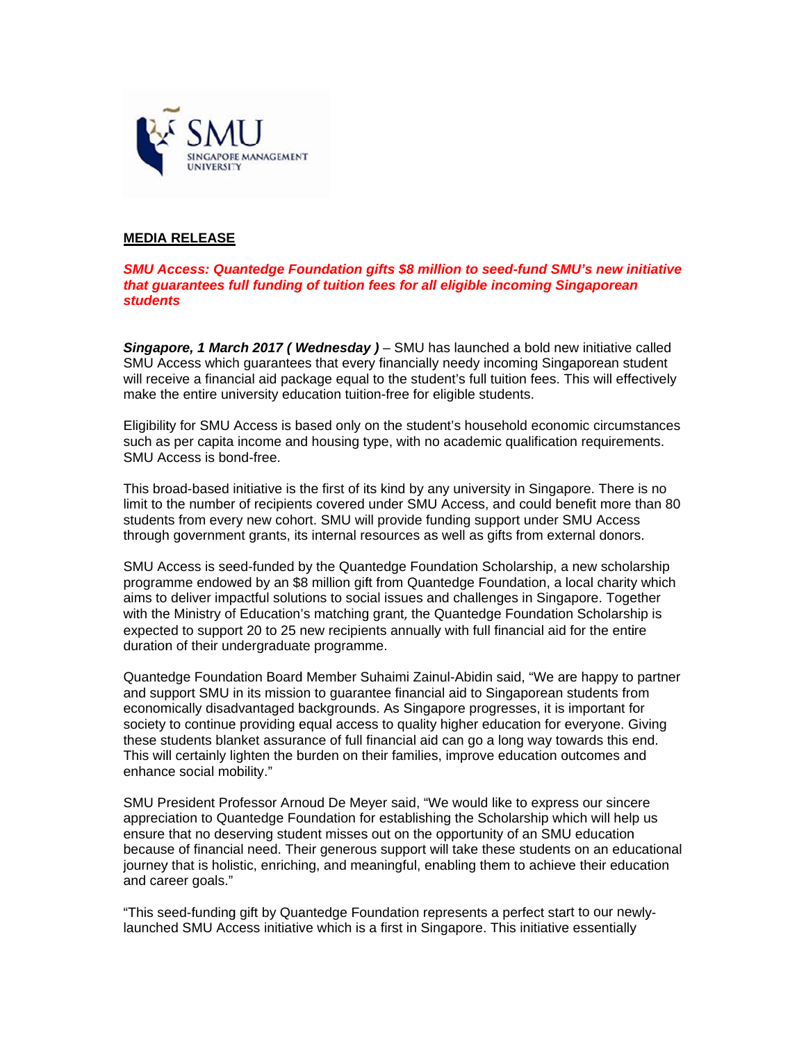

# **MEDIA RELEASE**

## **SMU Access: Quantedge Foundation gifts \$8 million to seed-fund SMU's new initiative** that quarantees full funding of tuition fees for all eligible incoming Singaporean **students**

Singapore, 1 March 2017 (Wednesday) - SMU has launched a bold new initiative called SMU Access which quarantees that every financially needy incoming Singaporean student will receive a financial aid package equal to the student's full tuition fees. This will effectively make the entire university education tuition-free for eligible students.

Eligibility for SMU Access is based only on the student's household economic circumstances such as per capita income and housing type, with no academic qualification requirements. SMU Access is bond-free.

This broad-based initiative is the first of its kind by any university in Singapore. There is no limit to the number of recipients covered under SMU Access, and could benefit more than 80 students from every new cohort. SMU will provide funding support under SMU Access through government grants, its internal resources as well as gifts from external donors.

SMU Access is seed-funded by the Quantedge Foundation Scholarship, a new scholarship programme endowed by an \$8 million gift from Quantedge Foundation, a local charity which aims to deliver impactful solutions to social issues and challenges in Singapore. Together with the Ministry of Education's matching grant, the Quantedge Foundation Scholarship is expected to support 20 to 25 new recipients annually with full financial aid for the entire duration of their undergraduate programme.

Quantedge Foundation Board Member Suhaimi Zainul-Abidin said, "We are happy to partner and support SMU in its mission to quarantee financial aid to Singaporean students from economically disadvantaged backgrounds. As Singapore progresses, it is important for society to continue providing equal access to quality higher education for everyone. Giving these students blanket assurance of full financial aid can go a long way towards this end. This will certainly lighten the burden on their families, improve education outcomes and enhance social mobility."

SMU President Professor Arnoud De Meyer said, "We would like to express our sincere appreciation to Quantedge Foundation for establishing the Scholarship which will help us ensure that no deserving student misses out on the opportunity of an SMU education because of financial need. Their generous support will take these students on an educational journey that is holistic, enriching, and meaningful, enabling them to achieve their education and career goals."

"This seed-funding gift by Quantedge Foundation represents a perfect start to our newlylaunched SMU Access initiative which is a first in Singapore. This initiative essentially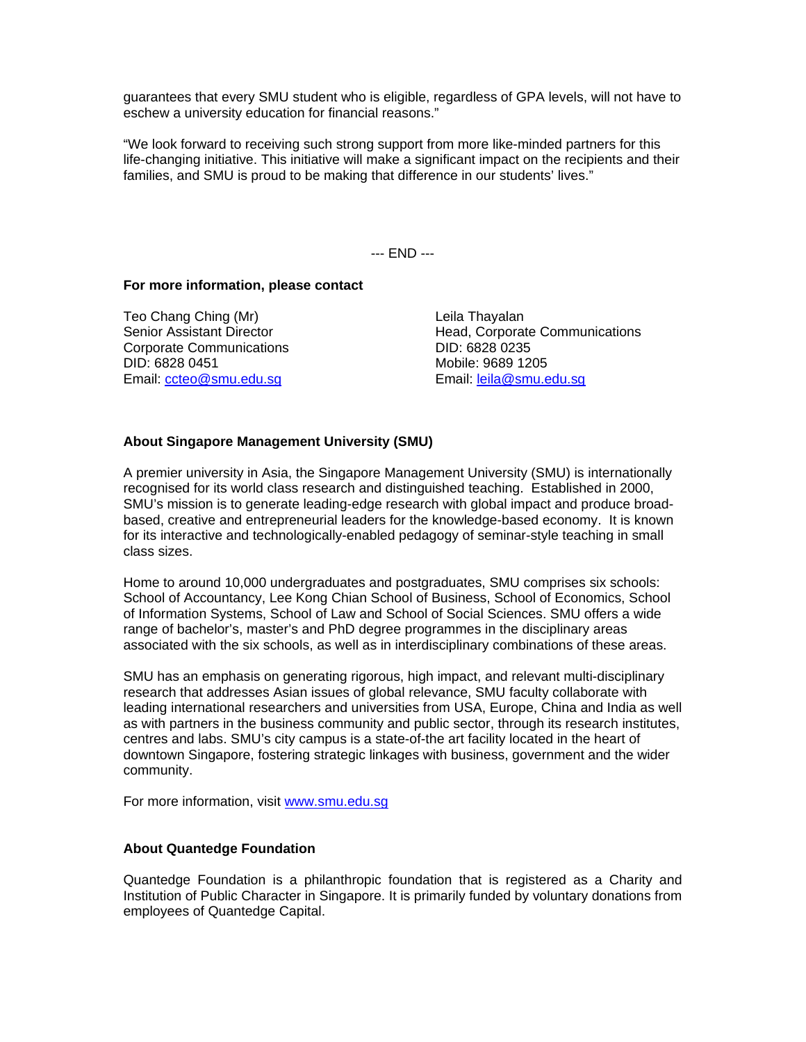guarantees that every SMU student who is eligible, regardless of GPA levels, will not have to eschew a university education for financial reasons."

"We look forward to receiving such strong support from more like-minded partners for this life-changing initiative. This initiative will make a significant impact on the recipients and their families, and SMU is proud to be making that difference in our students' lives."

--- END ---

### **For more information, please contact**

Teo Chang Ching (Mr) Leila Thayalan Corporate Communications Corporate Communications Corporate Communications Corporate DID: 6828 0235 DID: 6828 0451 Mobile: 9689 1205 Email: ccteo@smu.edu.sg Email: leila@smu.edu.sg

Senior Assistant Director **Exercise 2** Head, Corporate Communications

### **About Singapore Management University (SMU)**

A premier university in Asia, the Singapore Management University (SMU) is internationally recognised for its world class research and distinguished teaching. Established in 2000, SMU's mission is to generate leading-edge research with global impact and produce broadbased, creative and entrepreneurial leaders for the knowledge-based economy. It is known for its interactive and technologically-enabled pedagogy of seminar-style teaching in small class sizes.

Home to around 10,000 undergraduates and postgraduates, SMU comprises six schools: School of Accountancy, Lee Kong Chian School of Business, School of Economics, School of Information Systems, School of Law and School of Social Sciences. SMU offers a wide range of bachelor's, master's and PhD degree programmes in the disciplinary areas associated with the six schools, as well as in interdisciplinary combinations of these areas.

SMU has an emphasis on generating rigorous, high impact, and relevant multi-disciplinary research that addresses Asian issues of global relevance, SMU faculty collaborate with leading international researchers and universities from USA, Europe, China and India as well as with partners in the business community and public sector, through its research institutes, centres and labs. SMU's city campus is a state-of-the art facility located in the heart of downtown Singapore, fostering strategic linkages with business, government and the wider community.

For more information, visit www.smu.edu.sg

### **About Quantedge Foundation**

Quantedge Foundation is a philanthropic foundation that is registered as a Charity and Institution of Public Character in Singapore. It is primarily funded by voluntary donations from employees of Quantedge Capital.